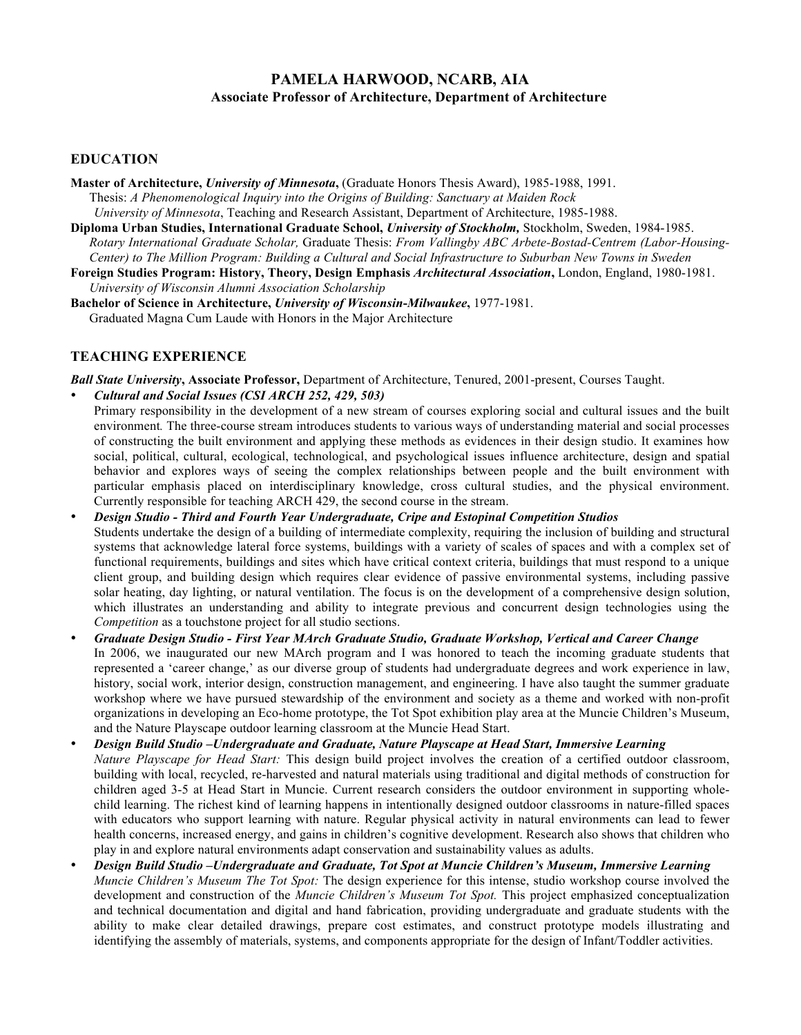### **PAMELA HARWOOD, NCARB, AIA Associate Professor of Architecture, Department of Architecture**

### **EDUCATION**

- **Master of Architecture,** *University of Minnesota***,** (Graduate Honors Thesis Award), 1985-1988, 1991. Thesis: *A Phenomenological Inquiry into the Origins of Building: Sanctuary at Maiden Rock University of Minnesota*, Teaching and Research Assistant, Department of Architecture, 1985-1988.
- **Diploma Urban Studies, International Graduate School,** *University of Stockholm,* Stockholm, Sweden, 1984-1985. *Rotary International Graduate Scholar,* Graduate Thesis: *From Vallingby ABC Arbete-Bostad-Centrem (Labor-Housing-Center) to The Million Program: Building a Cultural and Social Infrastructure to Suburban New Towns in Sweden*
- **Foreign Studies Program: History, Theory, Design Emphasis** *Architectural Association***,** London, England, 1980-1981. *University of Wisconsin Alumni Association Scholarship*
- **Bachelor of Science in Architecture,** *University of Wisconsin***-***Milwaukee***,** 1977-1981. Graduated Magna Cum Laude with Honors in the Major Architecture

### **TEACHING EXPERIENCE**

*Ball State University***, Associate Professor,** Department of Architecture, Tenured, 2001-present, Courses Taught.

- *Cultural and Social Issues (CSI ARCH 252, 429, 503)*
- Primary responsibility in the development of a new stream of courses exploring social and cultural issues and the built environment*.* The three-course stream introduces students to various ways of understanding material and social processes of constructing the built environment and applying these methods as evidences in their design studio. It examines how social, political, cultural, ecological, technological, and psychological issues influence architecture, design and spatial behavior and explores ways of seeing the complex relationships between people and the built environment with particular emphasis placed on interdisciplinary knowledge, cross cultural studies, and the physical environment. Currently responsible for teaching ARCH 429, the second course in the stream.
- *Design Studio - Third and Fourth Year Undergraduate, Cripe and Estopinal Competition Studios* Students undertake the design of a building of intermediate complexity, requiring the inclusion of building and structural systems that acknowledge lateral force systems, buildings with a variety of scales of spaces and with a complex set of functional requirements, buildings and sites which have critical context criteria, buildings that must respond to a unique client group, and building design which requires clear evidence of passive environmental systems, including passive solar heating, day lighting, or natural ventilation. The focus is on the development of a comprehensive design solution, which illustrates an understanding and ability to integrate previous and concurrent design technologies using the *Competition* as a touchstone project for all studio sections.
- *Graduate Design Studio - First Year MArch Graduate Studio, Graduate Workshop, Vertical and Career Change* In 2006, we inaugurated our new MArch program and I was honored to teach the incoming graduate students that represented a 'career change,' as our diverse group of students had undergraduate degrees and work experience in law, history, social work, interior design, construction management, and engineering. I have also taught the summer graduate workshop where we have pursued stewardship of the environment and society as a theme and worked with non-profit organizations in developing an Eco-home prototype, the Tot Spot exhibition play area at the Muncie Children's Museum, and the Nature Playscape outdoor learning classroom at the Muncie Head Start.
- *Design Build Studio –Undergraduate and Graduate, Nature Playscape at Head Start, Immersive Learning Nature Playscape for Head Start:* This design build project involves the creation of a certified outdoor classroom, building with local, recycled, re-harvested and natural materials using traditional and digital methods of construction for children aged 3-5 at Head Start in Muncie. Current research considers the outdoor environment in supporting wholechild learning. The richest kind of learning happens in intentionally designed outdoor classrooms in nature-filled spaces with educators who support learning with nature. Regular physical activity in natural environments can lead to fewer health concerns, increased energy, and gains in children's cognitive development. Research also shows that children who play in and explore natural environments adapt conservation and sustainability values as adults.
- *Design Build Studio –Undergraduate and Graduate, Tot Spot at Muncie Children's Museum, Immersive Learning Muncie Children's Museum The Tot Spot:* The design experience for this intense, studio workshop course involved the development and construction of the *Muncie Children's Museum Tot Spot.* This project emphasized conceptualization and technical documentation and digital and hand fabrication, providing undergraduate and graduate students with the ability to make clear detailed drawings, prepare cost estimates, and construct prototype models illustrating and identifying the assembly of materials, systems, and components appropriate for the design of Infant/Toddler activities.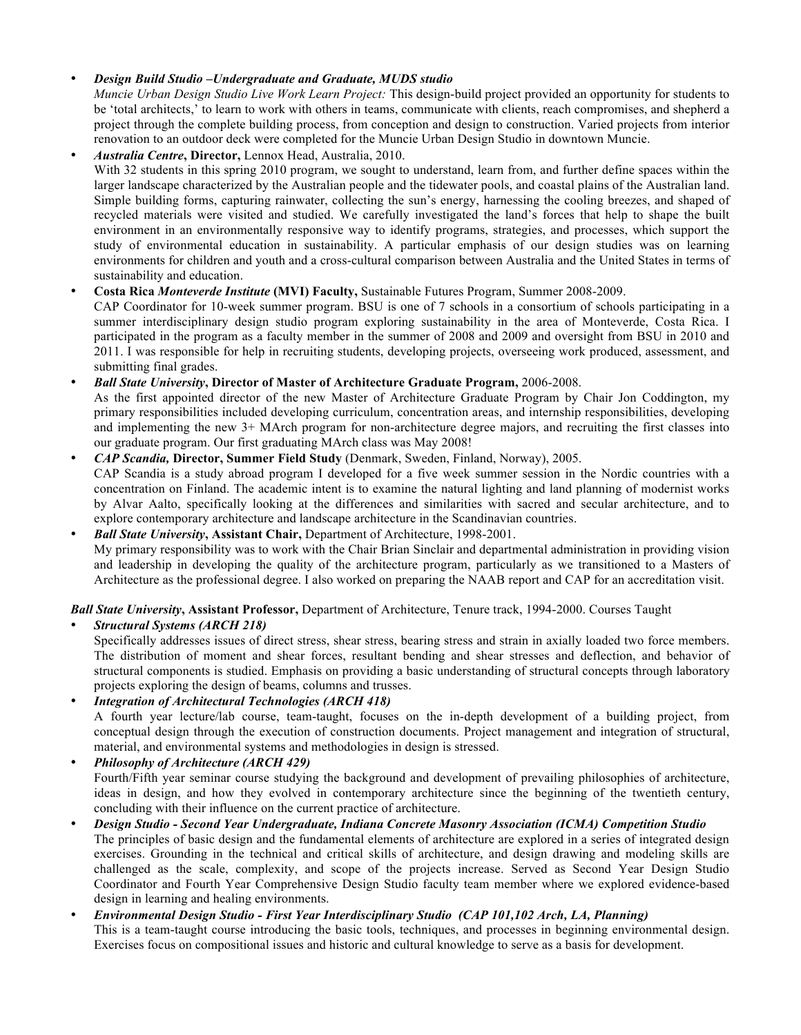#### • *Design Build Studio –Undergraduate and Graduate, MUDS studio*

*Muncie Urban Design Studio Live Work Learn Project:* This design-build project provided an opportunity for students to be 'total architects,' to learn to work with others in teams, communicate with clients, reach compromises, and shepherd a project through the complete building process, from conception and design to construction. Varied projects from interior renovation to an outdoor deck were completed for the Muncie Urban Design Studio in downtown Muncie.

• *Australia Centre***, Director,** Lennox Head, Australia, 2010. With 32 students in this spring 2010 program, we sought to understand, learn from, and further define spaces within the larger landscape characterized by the Australian people and the tidewater pools, and coastal plains of the Australian land. Simple building forms, capturing rainwater, collecting the sun's energy, harnessing the cooling breezes, and shaped of recycled materials were visited and studied. We carefully investigated the land's forces that help to shape the built environment in an environmentally responsive way to identify programs, strategies, and processes, which support the study of environmental education in sustainability. A particular emphasis of our design studies was on learning environments for children and youth and a cross-cultural comparison between Australia and the United States in terms of sustainability and education.

### • **Costa Rica** *Monteverde Institute* **(MVI) Faculty,** Sustainable Futures Program, Summer 2008-2009.

CAP Coordinator for 10-week summer program. BSU is one of 7 schools in a consortium of schools participating in a summer interdisciplinary design studio program exploring sustainability in the area of Monteverde, Costa Rica. I participated in the program as a faculty member in the summer of 2008 and 2009 and oversight from BSU in 2010 and 2011. I was responsible for help in recruiting students, developing projects, overseeing work produced, assessment, and submitting final grades.

#### • *Ball State University***, Director of Master of Architecture Graduate Program,** 2006-2008.

As the first appointed director of the new Master of Architecture Graduate Program by Chair Jon Coddington, my primary responsibilities included developing curriculum, concentration areas, and internship responsibilities, developing and implementing the new 3+ MArch program for non-architecture degree majors, and recruiting the first classes into our graduate program. Our first graduating MArch class was May 2008!

• *CAP Scandia,* **Director, Summer Field Study** (Denmark, Sweden, Finland, Norway), 2005. CAP Scandia is a study abroad program I developed for a five week summer session in the Nordic countries with a concentration on Finland. The academic intent is to examine the natural lighting and land planning of modernist works by Alvar Aalto, specifically looking at the differences and similarities with sacred and secular architecture, and to explore contemporary architecture and landscape architecture in the Scandinavian countries.

• *Ball State University***, Assistant Chair,** Department of Architecture, 1998-2001. My primary responsibility was to work with the Chair Brian Sinclair and departmental administration in providing vision and leadership in developing the quality of the architecture program, particularly as we transitioned to a Masters of Architecture as the professional degree. I also worked on preparing the NAAB report and CAP for an accreditation visit.

#### *Ball State University***, Assistant Professor,** Department of Architecture, Tenure track, 1994-2000. Courses Taught

• *Structural Systems (ARCH 218)*  Specifically addresses issues of direct stress, shear stress, bearing stress and strain in axially loaded two force members. The distribution of moment and shear forces, resultant bending and shear stresses and deflection, and behavior of structural components is studied. Emphasis on providing a basic understanding of structural concepts through laboratory projects exploring the design of beams, columns and trusses.

#### • *Integration of Architectural Technologies (ARCH 418)*

A fourth year lecture/lab course, team-taught, focuses on the in-depth development of a building project, from conceptual design through the execution of construction documents. Project management and integration of structural, material, and environmental systems and methodologies in design is stressed.

• *Philosophy of Architecture (ARCH 429)*  Fourth/Fifth year seminar course studying the background and development of prevailing philosophies of architecture, ideas in design, and how they evolved in contemporary architecture since the beginning of the twentieth century, concluding with their influence on the current practice of architecture.

- *Design Studio - Second Year Undergraduate, Indiana Concrete Masonry Association (ICMA) Competition Studio* The principles of basic design and the fundamental elements of architecture are explored in a series of integrated design exercises. Grounding in the technical and critical skills of architecture, and design drawing and modeling skills are challenged as the scale, complexity, and scope of the projects increase. Served as Second Year Design Studio Coordinator and Fourth Year Comprehensive Design Studio faculty team member where we explored evidence-based design in learning and healing environments.
- *Environmental Design Studio - First Year Interdisciplinary Studio**(CAP 101,102 Arch, LA, Planning)* This is a team-taught course introducing the basic tools, techniques, and processes in beginning environmental design. Exercises focus on compositional issues and historic and cultural knowledge to serve as a basis for development.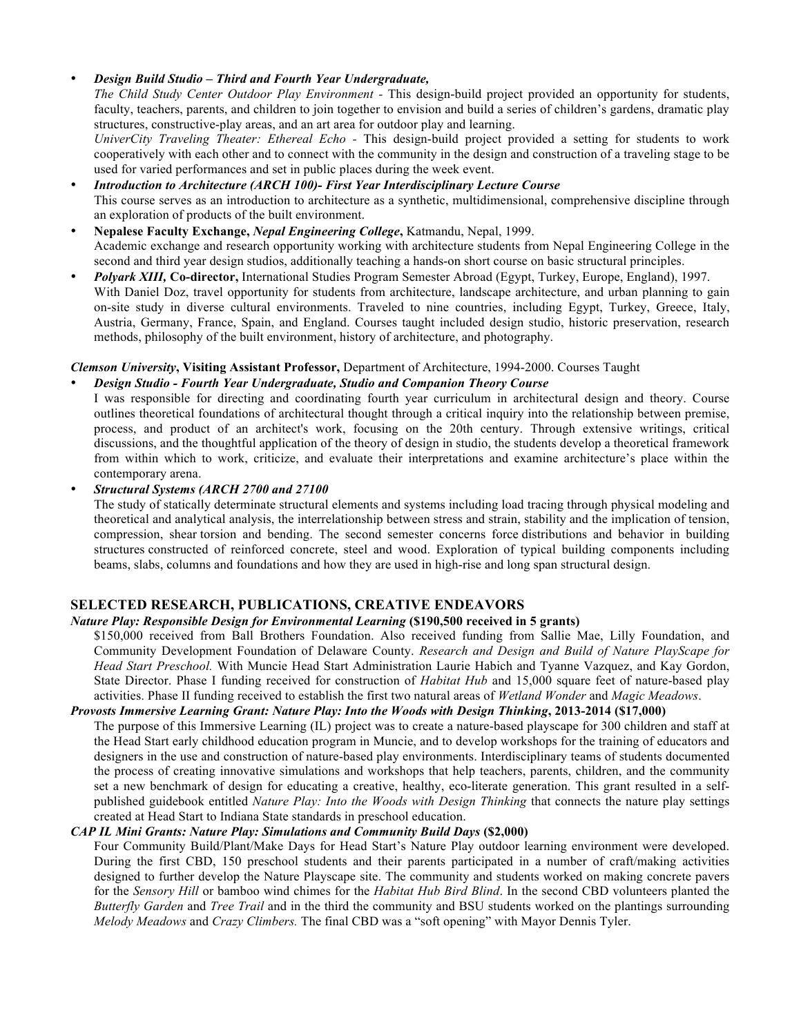#### • *Design Build Studio – Third and Fourth Year Undergraduate,*

*The Child Study Center Outdoor Play Environment -* This design-build project provided an opportunity for students, faculty, teachers, parents, and children to join together to envision and build a series of children's gardens, dramatic play structures, constructive-play areas, and an art area for outdoor play and learning.

*UniverCity Traveling Theater: Ethereal Echo -* This design-build project provided a setting for students to work cooperatively with each other and to connect with the community in the design and construction of a traveling stage to be used for varied performances and set in public places during the week event.

- *Introduction to Architecture (ARCH 100)- First Year Interdisciplinary Lecture Course* This course serves as an introduction to architecture as a synthetic, multidimensional, comprehensive discipline through an exploration of products of the built environment.
- **Nepalese Faculty Exchange,** *Nepal Engineering College***,** Katmandu, Nepal, 1999. Academic exchange and research opportunity working with architecture students from Nepal Engineering College in the second and third year design studios, additionally teaching a hands-on short course on basic structural principles.
- *Polyark XIII,* **Co-director,** International Studies Program Semester Abroad (Egypt, Turkey, Europe, England), 1997. With Daniel Doz, travel opportunity for students from architecture, landscape architecture, and urban planning to gain on-site study in diverse cultural environments. Traveled to nine countries, including Egypt, Turkey, Greece, Italy, Austria, Germany, France, Spain, and England. Courses taught included design studio, historic preservation, research methods, philosophy of the built environment, history of architecture, and photography.

### *Clemson University***, Visiting Assistant Professor,** Department of Architecture, 1994-2000. Courses Taught

### • *Design Studio - Fourth Year Undergraduate, Studio and Companion Theory Course*

I was responsible for directing and coordinating fourth year curriculum in architectural design and theory. Course outlines theoretical foundations of architectural thought through a critical inquiry into the relationship between premise, process, and product of an architect's work, focusing on the 20th century. Through extensive writings, critical discussions, and the thoughtful application of the theory of design in studio, the students develop a theoretical framework from within which to work, criticize, and evaluate their interpretations and examine architecture's place within the contemporary arena.

#### • *Structural Systems (ARCH 2700 and 27100*

The study of statically determinate structural elements and systems including load tracing through physical modeling and theoretical and analytical analysis, the interrelationship between stress and strain, stability and the implication of tension, compression, shear torsion and bending. The second semester concerns force distributions and behavior in building structures constructed of reinforced concrete, steel and wood. Exploration of typical building components including beams, slabs, columns and foundations and how they are used in high-rise and long span structural design.

### **SELECTED RESEARCH, PUBLICATIONS, CREATIVE ENDEAVORS**

#### *Nature Play: Responsible Design for Environmental Learning* **(\$190,500 received in 5 grants)**

\$150,000 received from Ball Brothers Foundation. Also received funding from Sallie Mae, Lilly Foundation, and Community Development Foundation of Delaware County. *Research and Design and Build of Nature PlayScape for Head Start Preschool.* With Muncie Head Start Administration Laurie Habich and Tyanne Vazquez, and Kay Gordon, State Director. Phase I funding received for construction of *Habitat Hub* and 15,000 square feet of nature-based play activities. Phase II funding received to establish the first two natural areas of *Wetland Wonder* and *Magic Meadows*.

#### *Provosts Immersive Learning Grant: Nature Play: Into the Woods with Design Thinking***, 2013-2014 (\$17,000)**

The purpose of this Immersive Learning (IL) project was to create a nature-based playscape for 300 children and staff at the Head Start early childhood education program in Muncie, and to develop workshops for the training of educators and designers in the use and construction of nature-based play environments. Interdisciplinary teams of students documented the process of creating innovative simulations and workshops that help teachers, parents, children, and the community set a new benchmark of design for educating a creative, healthy, eco-literate generation. This grant resulted in a selfpublished guidebook entitled *Nature Play: Into the Woods with Design Thinking* that connects the nature play settings created at Head Start to Indiana State standards in preschool education.

#### *CAP IL Mini Grants: Nature Play: Simulations and Community Build Days* **(\$2,000)**

Four Community Build/Plant/Make Days for Head Start's Nature Play outdoor learning environment were developed. During the first CBD, 150 preschool students and their parents participated in a number of craft/making activities designed to further develop the Nature Playscape site. The community and students worked on making concrete pavers for the *Sensory Hill* or bamboo wind chimes for the *Habitat Hub Bird Blind*. In the second CBD volunteers planted the *Butterfly Garden* and *Tree Trail* and in the third the community and BSU students worked on the plantings surrounding *Melody Meadows* and *Crazy Climbers.* The final CBD was a "soft opening" with Mayor Dennis Tyler.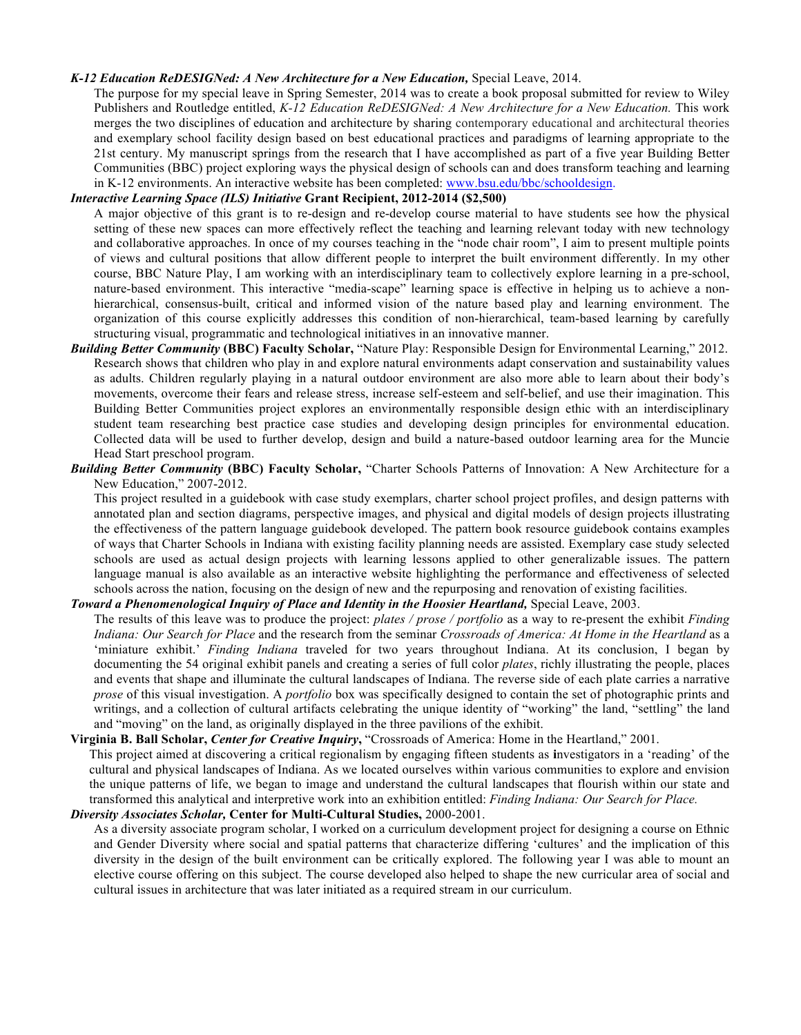#### *K-12 Education ReDESIGNed: A New Architecture for a New Education,* Special Leave, 2014.

The purpose for my special leave in Spring Semester, 2014 was to create a book proposal submitted for review to Wiley Publishers and Routledge entitled, *K-12 Education ReDESIGNed: A New Architecture for a New Education.* This work merges the two disciplines of education and architecture by sharing contemporary educational and architectural theories and exemplary school facility design based on best educational practices and paradigms of learning appropriate to the 21st century. My manuscript springs from the research that I have accomplished as part of a five year Building Better Communities (BBC) project exploring ways the physical design of schools can and does transform teaching and learning in K-12 environments. An interactive website has been completed: www.bsu.edu/bbc/schooldesign.

#### *Interactive Learning Space (ILS) Initiative* **Grant Recipient, 2012-2014 (\$2,500)**

A major objective of this grant is to re-design and re-develop course material to have students see how the physical setting of these new spaces can more effectively reflect the teaching and learning relevant today with new technology and collaborative approaches. In once of my courses teaching in the "node chair room", I aim to present multiple points of views and cultural positions that allow different people to interpret the built environment differently. In my other course, BBC Nature Play, I am working with an interdisciplinary team to collectively explore learning in a pre-school, nature-based environment. This interactive "media-scape" learning space is effective in helping us to achieve a nonhierarchical, consensus-built, critical and informed vision of the nature based play and learning environment. The organization of this course explicitly addresses this condition of non-hierarchical, team-based learning by carefully structuring visual, programmatic and technological initiatives in an innovative manner.

- *Building Better Community* **(BBC) Faculty Scholar,** "Nature Play: Responsible Design for Environmental Learning," 2012. Research shows that children who play in and explore natural environments adapt conservation and sustainability values as adults. Children regularly playing in a natural outdoor environment are also more able to learn about their body's movements, overcome their fears and release stress, increase self-esteem and self-belief, and use their imagination. This Building Better Communities project explores an environmentally responsible design ethic with an interdisciplinary student team researching best practice case studies and developing design principles for environmental education. Collected data will be used to further develop, design and build a nature-based outdoor learning area for the Muncie Head Start preschool program.
- *Building Better Community* **(BBC) Faculty Scholar,** "Charter Schools Patterns of Innovation: A New Architecture for a New Education," 2007-2012.

This project resulted in a guidebook with case study exemplars, charter school project profiles, and design patterns with annotated plan and section diagrams, perspective images, and physical and digital models of design projects illustrating the effectiveness of the pattern language guidebook developed. The pattern book resource guidebook contains examples of ways that Charter Schools in Indiana with existing facility planning needs are assisted. Exemplary case study selected schools are used as actual design projects with learning lessons applied to other generalizable issues. The pattern language manual is also available as an interactive website highlighting the performance and effectiveness of selected schools across the nation, focusing on the design of new and the repurposing and renovation of existing facilities.

#### *Toward a Phenomenological Inquiry of Place and Identity in the Hoosier Heartland,* Special Leave, 2003.

The results of this leave was to produce the project: *plates / prose / portfolio* as a way to re-present the exhibit *Finding Indiana: Our Search for Place* and the research from the seminar *Crossroads of America: At Home in the Heartland* as a 'miniature exhibit.' *Finding Indiana* traveled for two years throughout Indiana. At its conclusion, I began by documenting the 54 original exhibit panels and creating a series of full color *plates*, richly illustrating the people, places and events that shape and illuminate the cultural landscapes of Indiana. The reverse side of each plate carries a narrative *prose* of this visual investigation. A *portfolio* box was specifically designed to contain the set of photographic prints and writings, and a collection of cultural artifacts celebrating the unique identity of "working" the land, "settling" the land and "moving" on the land, as originally displayed in the three pavilions of the exhibit.

**Virginia B. Ball Scholar,** *Center for Creative Inquiry***,** "Crossroads of America: Home in the Heartland," 2001. This project aimed at discovering a critical regionalism by engaging fifteen students as **i**nvestigators in a 'reading' of the cultural and physical landscapes of Indiana. As we located ourselves within various communities to explore and envision the unique patterns of life, we began to image and understand the cultural landscapes that flourish within our state and transformed this analytical and interpretive work into an exhibition entitled: *Finding Indiana: Our Search for Place.*

*Diversity Associates Scholar,* **Center for Multi-Cultural Studies,** 2000-2001. As a diversity associate program scholar, I worked on a curriculum development project for designing a course on Ethnic and Gender Diversity where social and spatial patterns that characterize differing 'cultures' and the implication of this diversity in the design of the built environment can be critically explored. The following year I was able to mount an elective course offering on this subject. The course developed also helped to shape the new curricular area of social and cultural issues in architecture that was later initiated as a required stream in our curriculum.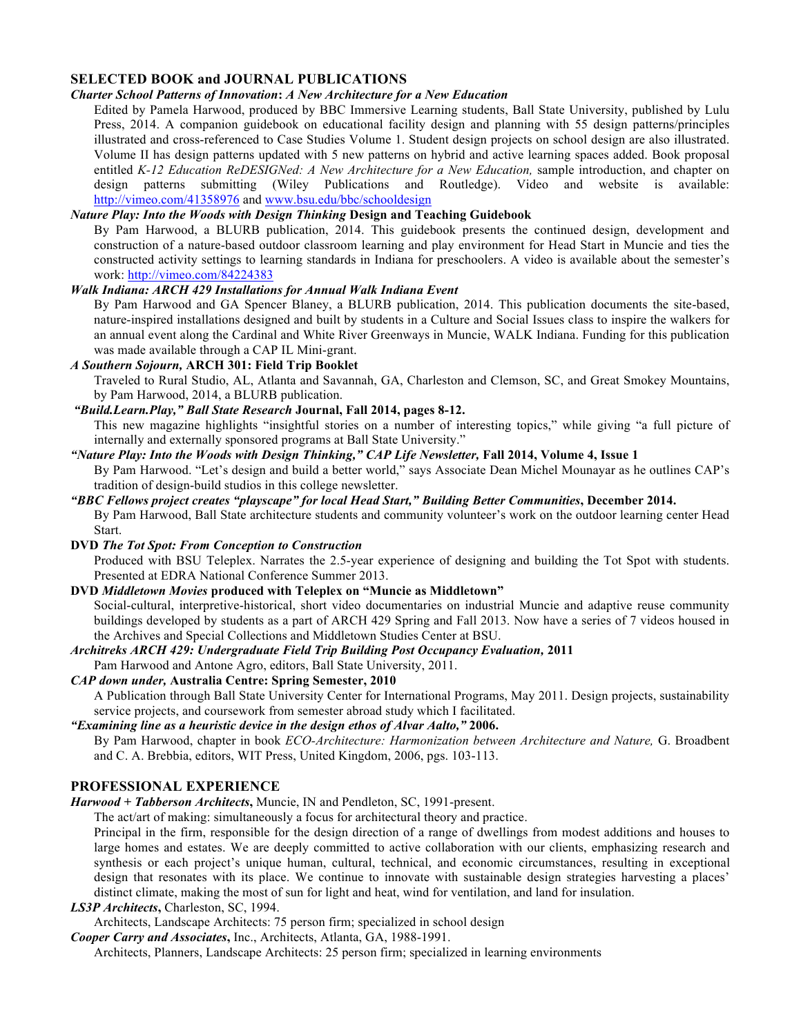### **SELECTED BOOK and JOURNAL PUBLICATIONS**

### *Charter School Patterns of Innovation***:** *A New Architecture for a New Education*

Edited by Pamela Harwood, produced by BBC Immersive Learning students, Ball State University, published by Lulu Press, 2014. A companion guidebook on educational facility design and planning with 55 design patterns/principles illustrated and cross-referenced to Case Studies Volume 1. Student design projects on school design are also illustrated. Volume II has design patterns updated with 5 new patterns on hybrid and active learning spaces added. Book proposal entitled *K-12 Education ReDESIGNed: A New Architecture for a New Education,* sample introduction, and chapter on design patterns submitting (Wiley Publications and Routledge). Video and website is available: http://vimeo.com/41358976 and www.bsu.edu/bbc/schooldesign

# *Nature Play: Into the Woods with Design Thinking* **Design and Teaching Guidebook**

By Pam Harwood, a BLURB publication, 2014. This guidebook presents the continued design, development and construction of a nature-based outdoor classroom learning and play environment for Head Start in Muncie and ties the constructed activity settings to learning standards in Indiana for preschoolers. A video is available about the semester's work: http://vimeo.com/84224383

# *Walk Indiana: ARCH 429 Installations for Annual Walk Indiana Event*

By Pam Harwood and GA Spencer Blaney, a BLURB publication, 2014. This publication documents the site-based, nature-inspired installations designed and built by students in a Culture and Social Issues class to inspire the walkers for an annual event along the Cardinal and White River Greenways in Muncie, WALK Indiana. Funding for this publication was made available through a CAP IL Mini-grant.

# *A Southern Sojourn,* **ARCH 301: Field Trip Booklet**

Traveled to Rural Studio, AL, Atlanta and Savannah, GA, Charleston and Clemson, SC, and Great Smokey Mountains, by Pam Harwood, 2014, a BLURB publication.

*"Build.Learn.Play," Ball State Research* **Journal, Fall 2014, pages 8-12.**  This new magazine highlights "insightful stories on a number of interesting topics," while giving "a full picture of

internally and externally sponsored programs at Ball State University."

### *"Nature Play: Into the Woods with Design Thinking," CAP Life Newsletter,* **Fall 2014, Volume 4, Issue 1** By Pam Harwood. "Let's design and build a better world," says Associate Dean Michel Mounayar as he outlines CAP's tradition of design-build studios in this college newsletter.

*"BBC Fellows project creates "playscape" for local Head Start," Building Better Communities***, December 2014.** By Pam Harwood, Ball State architecture students and community volunteer's work on the outdoor learning center Head Start.

**DVD** *The Tot Spot: From Conception to Construction* 

Produced with BSU Teleplex. Narrates the 2.5-year experience of designing and building the Tot Spot with students. Presented at EDRA National Conference Summer 2013.

# **DVD** *Middletown Movies* **produced with Teleplex on "Muncie as Middletown"**

Social-cultural, interpretive-historical, short video documentaries on industrial Muncie and adaptive reuse community buildings developed by students as a part of ARCH 429 Spring and Fall 2013. Now have a series of 7 videos housed in the Archives and Special Collections and Middletown Studies Center at BSU.

*Architreks ARCH 429: Undergraduate Field Trip Building Post Occupancy Evaluation,* **2011**

Pam Harwood and Antone Agro, editors, Ball State University, 2011.

*CAP down under,* **Australia Centre: Spring Semester, 2010** A Publication through Ball State University Center for International Programs, May 2011. Design projects, sustainability service projects, and coursework from semester abroad study which I facilitated.

# *"Examining line as a heuristic device in the design ethos of Alvar Aalto,"* **2006.**

By Pam Harwood, chapter in book *ECO-Architecture: Harmonization between Architecture and Nature,* G. Broadbent and C. A. Brebbia, editors, WIT Press, United Kingdom, 2006, pgs. 103-113.

# **PROFESSIONAL EXPERIENCE**

*Harwood + Tabberson Architects***,** Muncie, IN and Pendleton, SC, 1991-present.

The act/art of making: simultaneously a focus for architectural theory and practice.

Principal in the firm, responsible for the design direction of a range of dwellings from modest additions and houses to large homes and estates. We are deeply committed to active collaboration with our clients, emphasizing research and synthesis or each project's unique human, cultural, technical, and economic circumstances, resulting in exceptional design that resonates with its place. We continue to innovate with sustainable design strategies harvesting a places' distinct climate, making the most of sun for light and heat, wind for ventilation, and land for insulation.

# *LS3P Architects***,** Charleston, SC, 1994.

Architects, Landscape Architects: 75 person firm; specialized in school design

*Cooper Carry and Associates***,** Inc., Architects, Atlanta, GA, 1988-1991.

Architects, Planners, Landscape Architects: 25 person firm; specialized in learning environments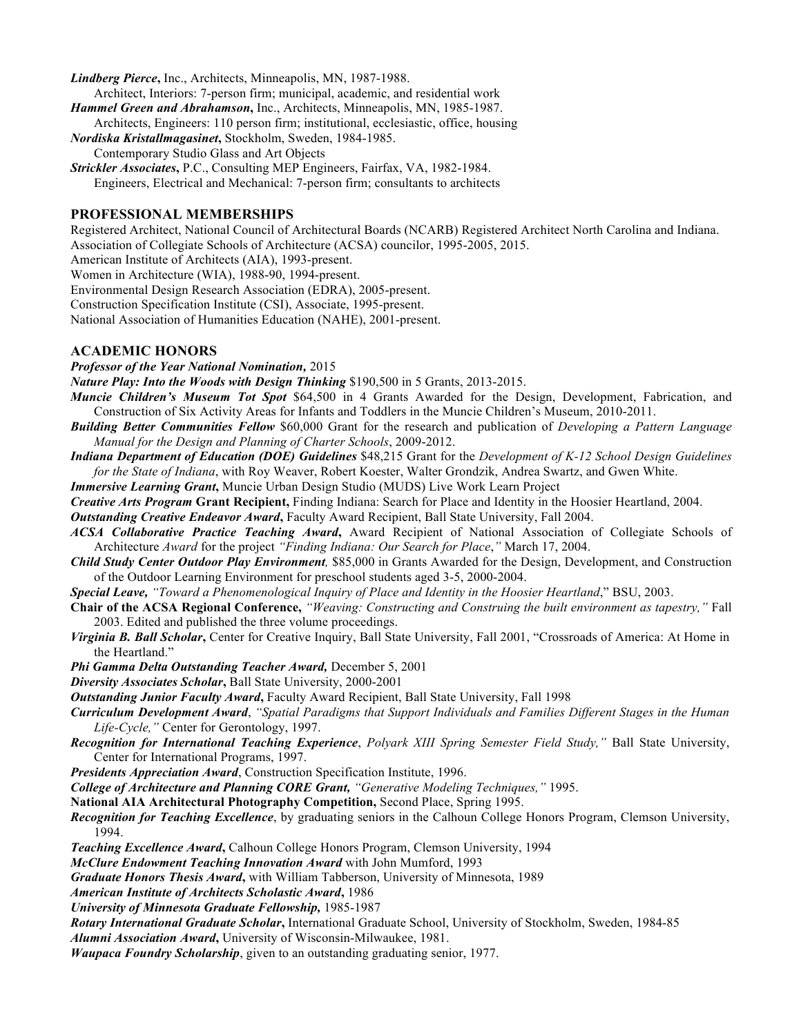*Lindberg Pierce***,** Inc., Architects, Minneapolis, MN, 1987-1988.

- Architect, Interiors: 7-person firm; municipal, academic, and residential work *Hammel Green and Abrahamson***,** Inc., Architects, Minneapolis, MN, 1985-1987.
- Architects, Engineers: 110 person firm; institutional, ecclesiastic, office, housing
- *Nordiska Kristallmagasinet***,** Stockholm, Sweden, 1984-1985.
- Contemporary Studio Glass and Art Objects
- *Strickler Associates***,** P.C., Consulting MEP Engineers, Fairfax, VA, 1982-1984. Engineers, Electrical and Mechanical: 7-person firm; consultants to architects

#### **PROFESSIONAL MEMBERSHIPS**

Registered Architect, National Council of Architectural Boards (NCARB) Registered Architect North Carolina and Indiana. Association of Collegiate Schools of Architecture (ACSA) councilor, 1995-2005, 2015.

American Institute of Architects (AIA), 1993-present.

Women in Architecture (WIA), 1988-90, 1994-present.

Environmental Design Research Association (EDRA), 2005-present.

Construction Specification Institute (CSI), Associate, 1995-present.

National Association of Humanities Education (NAHE), 2001-present.

#### **ACADEMIC HONORS**

*Professor of the Year National Nomination,* 2015

*Nature Play: Into the Woods with Design Thinking* \$190,500 in 5 Grants, 2013-2015.

- *Muncie Children's Museum Tot Spot* \$64,500 in 4 Grants Awarded for the Design, Development, Fabrication, and Construction of Six Activity Areas for Infants and Toddlers in the Muncie Children's Museum, 2010-2011.
- *Building Better Communities Fellow* \$60,000 Grant for the research and publication of *Developing a Pattern Language Manual for the Design and Planning of Charter Schools*, 2009-2012.
- *Indiana Department of Education (DOE) Guidelines* \$48,215 Grant for the *Development of K-12 School Design Guidelines for the State of Indiana*, with Roy Weaver, Robert Koester, Walter Grondzik, Andrea Swartz, and Gwen White.

*Immersive Learning Grant***,** Muncie Urban Design Studio (MUDS) Live Work Learn Project

*Creative Arts Program* **Grant Recipient,** Finding Indiana: Search for Place and Identity in the Hoosier Heartland, 2004.

*Outstanding Creative Endeavor Award***,** Faculty Award Recipient, Ball State University, Fall 2004.

- *ACSA Collaborative Practice Teaching Award***,** Award Recipient of National Association of Collegiate Schools of Architecture *Award* for the project *"Finding Indiana: Our Search for Place*,*"* March 17, 2004.
- *Child Study Center Outdoor Play Environment,* \$85,000 in Grants Awarded for the Design, Development, and Construction of the Outdoor Learning Environment for preschool students aged 3-5, 2000-2004.

*Special Leave, "Toward a Phenomenological Inquiry of Place and Identity in the Hoosier Heartland*," BSU, 2003.

- **Chair of the ACSA Regional Conference,** *"Weaving: Constructing and Construing the built environment as tapestry,"* Fall 2003. Edited and published the three volume proceedings.
- *Virginia B. Ball Scholar***,** Center for Creative Inquiry, Ball State University, Fall 2001, "Crossroads of America: At Home in the Heartland."

*Phi Gamma Delta Outstanding Teacher Award,* December 5, 2001

*Diversity Associates Scholar***,** Ball State University, 2000-2001

*Outstanding Junior Faculty Award***,** Faculty Award Recipient, Ball State University, Fall 1998

*Curriculum Development Award*, *"Spatial Paradigms that Support Individuals and Families Different Stages in the Human Life-Cycle,"* Center for Gerontology, 1997.

- *Recognition for International Teaching Experience*, *Polyark XIII Spring Semester Field Study,"* Ball State University, Center for International Programs, 1997.
- *Presidents Appreciation Award*, Construction Specification Institute, 1996.

*College of Architecture and Planning CORE Grant, "Generative Modeling Techniques,"* 1995.

**National AIA Architectural Photography Competition,** Second Place, Spring 1995.

*Recognition for Teaching Excellence*, by graduating seniors in the Calhoun College Honors Program, Clemson University, 1994.

*Teaching Excellence Award***,** Calhoun College Honors Program, Clemson University, 1994

*McClure Endowment Teaching Innovation Award* with John Mumford, 1993

*Graduate Honors Thesis Award***,** with William Tabberson, University of Minnesota, 1989

*American Institute of Architects Scholastic Award***,** 1986

*University of Minnesota Graduate Fellowship,* 1985-1987

*Rotary International Graduate Scholar***,** International Graduate School, University of Stockholm, Sweden, 1984-85

*Alumni Association Award***,** University of Wisconsin-Milwaukee, 1981.

*Waupaca Foundry Scholarship*, given to an outstanding graduating senior, 1977.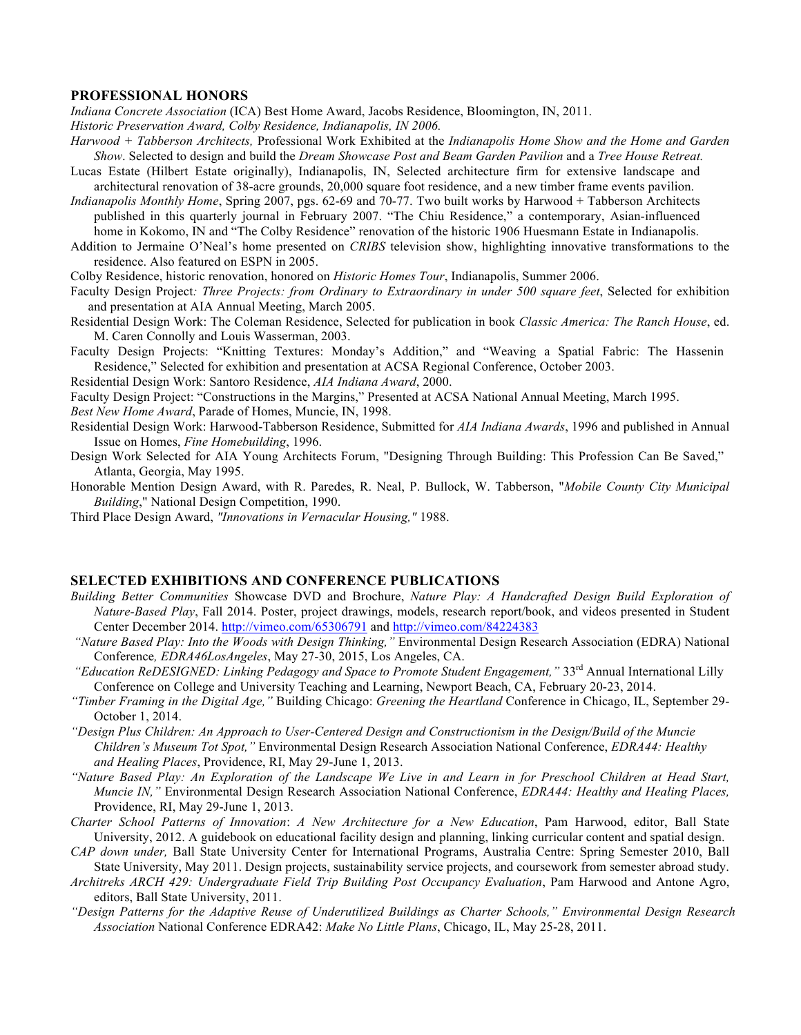#### **PROFESSIONAL HONORS**

*Indiana Concrete Association* (ICA) Best Home Award, Jacobs Residence, Bloomington, IN, 2011.

- *Historic Preservation Award, Colby Residence, Indianapolis, IN 2006.*
- *Harwood + Tabberson Architects,* Professional Work Exhibited at the *Indianapolis Home Show and the Home and Garden Show*. Selected to design and build the *Dream Showcase Post and Beam Garden Pavilion* and a *Tree House Retreat.*
- Lucas Estate (Hilbert Estate originally), Indianapolis, IN, Selected architecture firm for extensive landscape and architectural renovation of 38-acre grounds, 20,000 square foot residence, and a new timber frame events pavilion.
- *Indianapolis Monthly Home*, Spring 2007, pgs. 62-69 and 70-77. Two built works by Harwood + Tabberson Architects published in this quarterly journal in February 2007. "The Chiu Residence," a contemporary, Asian-influenced home in Kokomo, IN and "The Colby Residence" renovation of the historic 1906 Huesmann Estate in Indianapolis.
- Addition to Jermaine O'Neal's home presented on *CRIBS* television show, highlighting innovative transformations to the residence. Also featured on ESPN in 2005.
- Colby Residence, historic renovation, honored on *Historic Homes Tour*, Indianapolis, Summer 2006.
- Faculty Design Project*: Three Projects: from Ordinary to Extraordinary in under 500 square feet*, Selected for exhibition and presentation at AIA Annual Meeting, March 2005.
- Residential Design Work: The Coleman Residence, Selected for publication in book *Classic America: The Ranch House*, ed. M. Caren Connolly and Louis Wasserman, 2003.
- Faculty Design Projects: "Knitting Textures: Monday's Addition," and "Weaving a Spatial Fabric: The Hassenin Residence," Selected for exhibition and presentation at ACSA Regional Conference, October 2003.
- Residential Design Work: Santoro Residence, *AIA Indiana Award*, 2000.
- Faculty Design Project: "Constructions in the Margins," Presented at ACSA National Annual Meeting, March 1995.
- *Best New Home Award*, Parade of Homes, Muncie, IN, 1998.
- Residential Design Work: Harwood-Tabberson Residence, Submitted for *AIA Indiana Awards*, 1996 and published in Annual Issue on Homes, *Fine Homebuilding*, 1996.
- Design Work Selected for AIA Young Architects Forum, "Designing Through Building: This Profession Can Be Saved," Atlanta, Georgia, May 1995.
- Honorable Mention Design Award, with R. Paredes, R. Neal, P. Bullock, W. Tabberson, "*Mobile County City Municipal Building*," National Design Competition, 1990.
- Third Place Design Award, *"Innovations in Vernacular Housing,"* 1988.

#### **SELECTED EXHIBITIONS AND CONFERENCE PUBLICATIONS**

- *Building Better Communities* Showcase DVD and Brochure, *Nature Play: A Handcrafted Design Build Exploration of Nature-Based Play*, Fall 2014. Poster, project drawings, models, research report/book, and videos presented in Student Center December 2014. http://vimeo.com/65306791 and http://vimeo.com/84224383
- *"Nature Based Play: Into the Woods with Design Thinking,"* Environmental Design Research Association (EDRA) National Conference*, EDRA46LosAngeles*, May 27-30, 2015, Los Angeles, CA.
- *"Education ReDESIGNED: Linking Pedagogy and Space to Promote Student Engagement,"* 33<sup>rd</sup> Annual International Lilly Conference on College and University Teaching and Learning, Newport Beach, CA, February 20-23, 2014.
- *"Timber Framing in the Digital Age,"* Building Chicago: *Greening the Heartland* Conference in Chicago, IL, September 29- October 1, 2014.
- *"Design Plus Children: An Approach to User-Centered Design and Constructionism in the Design/Build of the Muncie Children's Museum Tot Spot,"* Environmental Design Research Association National Conference, *EDRA44: Healthy and Healing Places*, Providence, RI, May 29-June 1, 2013.
- *"Nature Based Play: An Exploration of the Landscape We Live in and Learn in for Preschool Children at Head Start, Muncie IN,"* Environmental Design Research Association National Conference, *EDRA44: Healthy and Healing Places,* Providence, RI, May 29-June 1, 2013.
- *Charter School Patterns of Innovation*: *A New Architecture for a New Education*, Pam Harwood, editor, Ball State University, 2012. A guidebook on educational facility design and planning, linking curricular content and spatial design.
- *CAP down under,* Ball State University Center for International Programs, Australia Centre: Spring Semester 2010, Ball State University, May 2011. Design projects, sustainability service projects, and coursework from semester abroad study.
- *Architreks ARCH 429: Undergraduate Field Trip Building Post Occupancy Evaluation*, Pam Harwood and Antone Agro, editors, Ball State University, 2011.
- *"Design Patterns for the Adaptive Reuse of Underutilized Buildings as Charter Schools," Environmental Design Research Association* National Conference EDRA42: *Make No Little Plans*, Chicago, IL, May 25-28, 2011.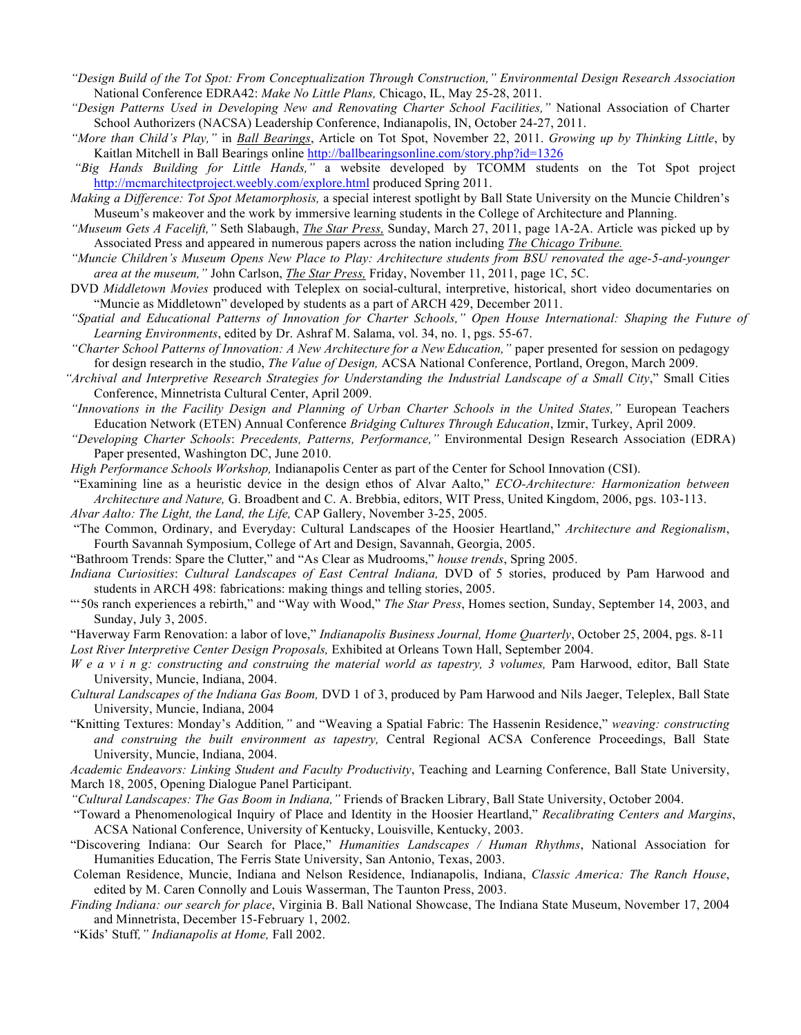- *"Design Build of the Tot Spot: From Conceptualization Through Construction," Environmental Design Research Association*  National Conference EDRA42: *Make No Little Plans,* Chicago, IL, May 25-28, 2011.
- *"Design Patterns Used in Developing New and Renovating Charter School Facilities,"* National Association of Charter School Authorizers (NACSA) Leadership Conference, Indianapolis, IN, October 24-27, 2011.
- *"More than Child's Play,"* in *Ball Bearings*, Article on Tot Spot, November 22, 2011. *Growing up by Thinking Little*, by Kaitlan Mitchell in Ball Bearings online http://ballbearingsonline.com/story.php?id=1326
- *"Big Hands Building for Little Hands,"* a website developed by TCOMM students on the Tot Spot project http://mcmarchitectproject.weebly.com/explore.html produced Spring 2011.
- *Making a Difference: Tot Spot Metamorphosis,* a special interest spotlight by Ball State University on the Muncie Children's Museum's makeover and the work by immersive learning students in the College of Architecture and Planning.
- *"Museum Gets A Facelift,"* Seth Slabaugh, *The Star Press,* Sunday, March 27, 2011, page 1A-2A. Article was picked up by Associated Press and appeared in numerous papers across the nation including *The Chicago Tribune.*
- *"Muncie Children's Museum Opens New Place to Play: Architecture students from BSU renovated the age-5-and-younger area at the museum,"* John Carlson, *The Star Press,* Friday, November 11, 2011, page 1C, 5C.
- DVD *Middletown Movies* produced with Teleplex on social-cultural, interpretive, historical, short video documentaries on "Muncie as Middletown" developed by students as a part of ARCH 429, December 2011.
- *"Spatial and Educational Patterns of Innovation for Charter Schools," Open House International: Shaping the Future of Learning Environments*, edited by Dr. Ashraf M. Salama, vol. 34, no. 1, pgs. 55-67.
- *"Charter School Patterns of Innovation: A New Architecture for a New Education,"* paper presented for session on pedagogy for design research in the studio, *The Value of Design,* ACSA National Conference, Portland, Oregon, March 2009.
- *"Archival and Interpretive Research Strategies for Understanding the Industrial Landscape of a Small City*," Small Cities Conference, Minnetrista Cultural Center, April 2009.
- *"Innovations in the Facility Design and Planning of Urban Charter Schools in the United States,"* European Teachers Education Network (ETEN) Annual Conference *Bridging Cultures Through Education*, Izmir, Turkey, April 2009.
- *"Developing Charter Schools*: *Precedents, Patterns, Performance,"* Environmental Design Research Association (EDRA) Paper presented, Washington DC, June 2010.
- *High Performance Schools Workshop,* Indianapolis Center as part of the Center for School Innovation (CSI).
- "Examining line as a heuristic device in the design ethos of Alvar Aalto," *ECO-Architecture: Harmonization between Architecture and Nature,* G. Broadbent and C. A. Brebbia, editors, WIT Press, United Kingdom, 2006, pgs. 103-113. *Alvar Aalto: The Light, the Land, the Life,* CAP Gallery, November 3-25, 2005.
- "The Common, Ordinary, and Everyday: Cultural Landscapes of the Hoosier Heartland," *Architecture and Regionalism*, Fourth Savannah Symposium, College of Art and Design, Savannah, Georgia, 2005.
- "Bathroom Trends: Spare the Clutter," and "As Clear as Mudrooms," *house trends*, Spring 2005.
- *Indiana Curiosities*: *Cultural Landscapes of East Central Indiana,* DVD of 5 stories, produced by Pam Harwood and students in ARCH 498: fabrications: making things and telling stories, 2005.
- "'50s ranch experiences a rebirth," and "Way with Wood," *The Star Press*, Homes section, Sunday, September 14, 2003, and Sunday, July 3, 2005.
- "Haverway Farm Renovation: a labor of love," *Indianapolis Business Journal, Home Quarterly*, October 25, 2004, pgs. 8-11 *Lost River Interpretive Center Design Proposals,* Exhibited at Orleans Town Hall, September 2004.
- *We a v i n g: constructing and construing the material world as tapestry, 3 volumes, Pam Harwood, editor, Ball State* University, Muncie, Indiana, 2004.
- *Cultural Landscapes of the Indiana Gas Boom,* DVD 1 of 3, produced by Pam Harwood and Nils Jaeger, Teleplex, Ball State University, Muncie, Indiana, 2004
- "Knitting Textures: Monday's Addition*,"* and "Weaving a Spatial Fabric: The Hassenin Residence," *weaving: constructing and construing the built environment as tapestry,* Central Regional ACSA Conference Proceedings, Ball State University, Muncie, Indiana, 2004.
- *Academic Endeavors: Linking Student and Faculty Productivity*, Teaching and Learning Conference, Ball State University, March 18, 2005, Opening Dialogue Panel Participant.
- *"Cultural Landscapes: The Gas Boom in Indiana,"* Friends of Bracken Library, Ball State University, October 2004.
- "Toward a Phenomenological Inquiry of Place and Identity in the Hoosier Heartland," *Recalibrating Centers and Margins*, ACSA National Conference, University of Kentucky, Louisville, Kentucky, 2003.
- "Discovering Indiana: Our Search for Place," *Humanities Landscapes / Human Rhythms*, National Association for Humanities Education, The Ferris State University, San Antonio, Texas, 2003.
- Coleman Residence, Muncie, Indiana and Nelson Residence, Indianapolis, Indiana, *Classic America: The Ranch House*, edited by M. Caren Connolly and Louis Wasserman, The Taunton Press, 2003.
- *Finding Indiana: our search for place*, Virginia B. Ball National Showcase, The Indiana State Museum, November 17, 2004 and Minnetrista, December 15-February 1, 2002.
- "Kids' Stuff*," Indianapolis at Home,* Fall 2002.